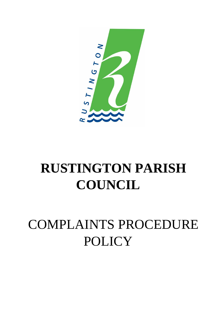

# **RUSTINGTON PARISH COUNCIL**

# COMPLAINTS PROCEDURE POLICY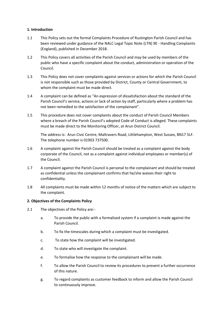### **1. Introduction**

- 1.1 This Policy sets out the formal Complaints Procedure of Rustington Parish Council and has been reviewed under guidance of the NALC Legal Topic Note (LTN) 9E - Handling Complaints (England), published in December 2018.
- 1.2 This Policy covers all activities of the Parish Council and may be used by members of the public who have a specific complaint about the conduct, administration or operation of the Council.
- 1.3 This Policy does not cover complaints against services or actions for which the Parish Council is not responsible such as those provided by District, County or Central Government, to whom the complaint must be made direct.
- 1.4 A complaint can be defined as "An expression of dissatisfaction about the standard of the Parish Council's service, actions or lack of action by staff, particularly where a problem has not been remedied to the satisfaction of the complainant".
- 1.5 This procedure does not cover complaints about the conduct of Parish Council Members where a breach of the Parish Council's adopted Code of Conduct is alleged. These complaints must be made direct to the Monitoring Officer, at Arun District Council.

The address is: Arun Civic Centre, Maltravers Road, Littlehampton, West Sussex, BN17 5LF. The telephone number is 01903 737500.

- 1.6 A complaint against the Parish Council should be treated as a complaint against the body corporate of the Council, not as a complaint against individual employees or member(s) of the Council.
- 1.7 A complaint against the Parish Council is personal to the complainant and should be treated as confidential unless the complainant confirms that he/she waives their right to confidentiality.
- 1.8 All complaints must be made within 12 months of notice of the matters which are subject to the complaint.

#### **2. Objectives of the Complaints Policy**

- 2.1 The objectives of the Policy are:
	- a. To provide the public with a formalised system if a complaint is made against the Parish Council.
	- b. To fix the timescales during which a complaint must be investigated.
	- c. To state how the complaint will be investigated.
	- d. To state who will investigate the complaint.
	- e. To formalise how the response to the complainant will be made.
	- f. To allow the Parish Council to review its procedures to prevent a further occurrence of this nature.
	- g. To regard complaints as customer feedback to inform and allow the Parish Council to continuously improve.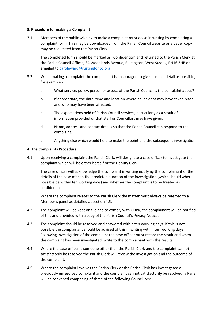#### **3. Procedure for making a Complaint**

3.1 Members of the public wishing to make a complaint must do so in writing by completing a complaint form. This may be downloaded from the Parish Council website or a paper copy may be requested from the Parish Clerk.

The completed form should be marked as "Confidential" and returned to the Parish Clerk at the Parish Council Offices, 34 Woodlands Avenue, Rustington, West Sussex, BN16 3HB or emailed to [caroleward@rustingtonpc.org](mailto:caroleward@rustingtonpc.org)

- 3.2 When making a complaint the complainant is encouraged to give as much detail as possible, for example:
	- a. What service, policy, person or aspect of the Parish Council is the complaint about?
	- b. If appropriate, the date, time and location where an incident may have taken place and who may have been affected.
	- c. The expectations held of Parish Council services, particularly as a result of information provided or that staff or Councillors may have given.
	- d. Name, address and contact details so that the Parish Council can respond to the complaint.
	- e. Anything else which would help to make the point and the subsequent investigation.

#### **4. The Complaints Procedure**

4.1 Upon receiving a complaint the Parish Clerk, will designate a case officer to investigate the complaint which will be either herself or the Deputy Clerk.

The case officer will acknowledge the complaint in writing notifying the complainant of the details of the case officer, the predicted duration of the investigation (which should where possible be within ten working days) and whether the complaint is to be treated as confidential.

Where the complaint relates to the Parish Clerk the matter must always be referred to a Member's panel as detailed at section 4.5.

- 4.2 The complaint will be kept on file and to comply with GDPR, the complainant will be notified of this and provided with a copy of the Parish Council's Privacy Notice.
- 4.3 The complaint should be resolved and answered within ten working days. If this is not possible the complainant should be advised of this in writing within ten working days. Following investigation of the complaint the case officer must record the result and when the complaint has been investigated, write to the complainant with the results.
- 4.4 Where the case officer is someone other than the Parish Clerk and the complaint cannot satisfactorily be resolved the Parish Clerk will review the investigation and the outcome of the complaint.
- 4.5 Where the complaint involves the Parish Clerk or the Parish Clerk has investigated a previously unresolved complaint and the complaint cannot satisfactorily be resolved, a Panel will be convened comprising of three of the following Councillors:-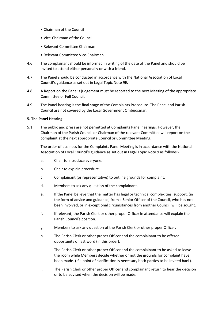- Chairman of the Council
- Vice-Chairman of the Council
- Relevant Committee Chairman
- Relevant Committee Vice-Chairman
- 4.6 The complainant should be informed in writing of the date of the Panel and should be invited to attend either personally or with a friend.
- 4.7 The Panel should be conducted in accordance with the National Association of Local Council's guidance as set out in Legal Topic Note 9E.
- 4.8 A Report on the Panel's judgement must be reported to the next Meeting of the appropriate Committee or Full Council.
- 4.9 The Panel hearing is the final stage of the Complaints Procedure. The Panel and Parish Council are not covered by the Local Government Ombudsman.

#### **5. The Panel Hearing**

5.1 The public and press are not permitted at Complaints Panel hearings. However, the Chairman of the Parish Council or Chairman of the relevant Committee will report on the complaint at the next appropriate Council or Committee Meeting.

The order of business for the Complaints Panel Meeting is in accordance with the National Association of Local Council's guidance as set out in Legal Topic Note 9 as follows:-

- a. Chair to introduce everyone.
- b. Chair to explain procedure.
- c. Complainant (or representative) to outline grounds for complaint.
- d. Members to ask any question of the complainant.
- e. If the Panel believe that the matter has legal or technical complexities, support, (in the form of advice and guidance) from a Senior Officer of the Council, who has not been involved, or in exceptional circumstances from another Council, will be sought.
- f. If relevant, the Parish Clerk or other proper Officer in attendance will explain the Parish Council's position.
- g. Members to ask any question of the Parish Clerk or other proper Officer.
- h. The Parish Clerk or other proper Officer and the complainant to be offered opportunity of last word (in this order).
- i. The Parish Clerk or other proper Officer and the complainant to be asked to leave the room while Members decide whether or not the grounds for complaint have been made. (If a point of clarification is necessary both parties to be invited back).
- j. The Parish Clerk or other proper Officer and complainant return to hear the decision or to be advised when the decision will be made.